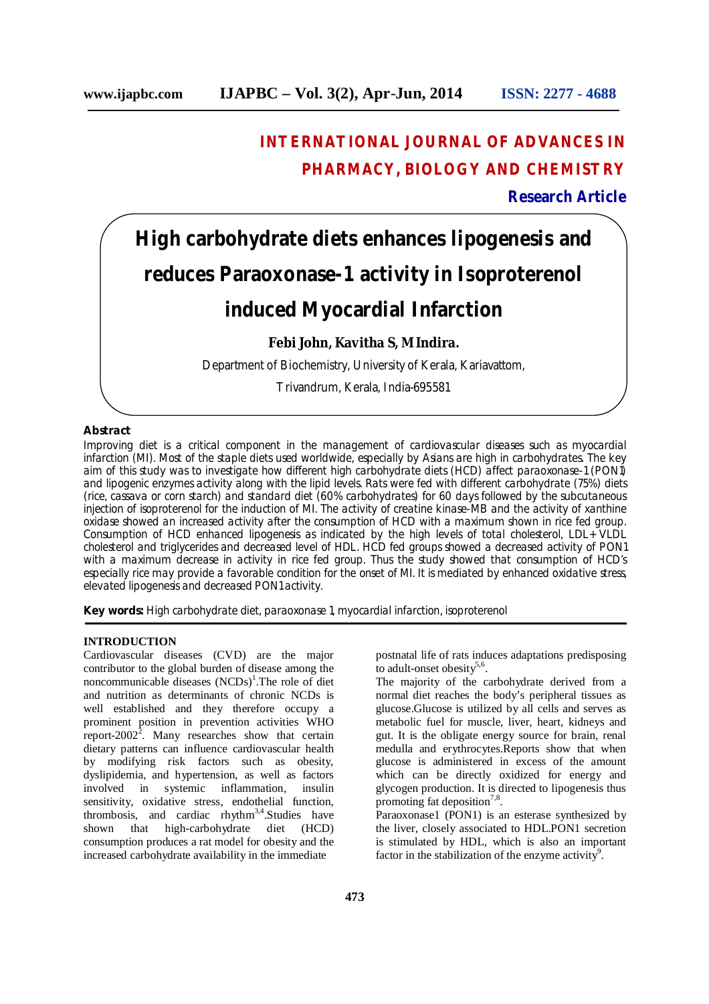# **INTERNATIONAL JOURNAL OF ADVANCES IN PHARMACY, BIOLOGY AND CHEMISTRY**

# **Research Article**

# **High carbohydrate diets enhances lipogenesis and reduces Paraoxonase-1 activity in Isoproterenol induced Myocardial Infarction**

# **Febi John, Kavitha S, M Indira.**

Department of Biochemistry, University of Kerala, Kariavattom,

Trivandrum, Kerala, India-695581

#### **Abstract**

Improving diet is a critical component in the management of cardiovascular diseases such as myocardial infarction (MI). Most of the staple diets used worldwide, especially by Asians are high in carbohydrates. The key aim of this study was to investigate how different high carbohydrate diets (HCD) affect paraoxonase-1 (PON1) and lipogenic enzymes activity along with the lipid levels. Rats were fed with different carbohydrate (75%) diets (rice, cassava or corn starch) and standard diet (60% carbohydrates) for 60 days followed by the subcutaneous injection of isoproterenol for the induction of MI. The activity of creatine kinase-MB and the activity of xanthine oxidase showed an increased activity after the consumption of HCD with a maximum shown in rice fed group. Consumption of HCD enhanced lipogenesis as indicated by the high levels of total cholesterol, LDL+ VLDL cholesterol and triglycerides and decreased level of HDL. HCD fed groups showed a decreased activity of PON1 with a maximum decrease in activity in rice fed group. Thus the study showed that consumption of HCD's especially rice may provide a favorable condition for the onset of MI. It is mediated by enhanced oxidative stress, elevated lipogenesis and decreased PON1 activity.

**Key words:** High carbohydrate diet, paraoxonase 1, myocardial infarction, isoproterenol

#### **INTRODUCTION**

Cardiovascular diseases (CVD) are the major contributor to the global burden of disease among the noncommunicable diseases  $(NCDs)^{1}$ . The role of diet and nutrition as determinants of chronic NCDs is well established and they therefore occupy a prominent position in prevention activities WHO report-2002<sup>2</sup>. Many researches show that certain dietary patterns can influence cardiovascular health by modifying risk factors such as obesity, dyslipidemia, and hypertension, as well as factors involved in systemic inflammation, insulin sensitivity, oxidative stress, endothelial function, thrombosis, and cardiac rhythm<sup>3,4</sup>. Studies have shown that high-carbohydrate diet (HCD) consumption produces a rat model for obesity and the increased carbohydrate availability in the immediate

postnatal life of rats induces adaptations predisposing to adult-onset obesity<sup>5,6</sup>.

The majority of the carbohydrate derived from a normal diet reaches the body's peripheral tissues as glucose.Glucose is utilized by all cells and serves as metabolic fuel for muscle, liver, heart, kidneys and gut. It is the obligate energy source for brain, renal medulla and erythrocytes.Reports show that when glucose is administered in excess of the amount which can be directly oxidized for energy and glycogen production. It is directed to lipogenesis thus promoting fat deposition<sup>7,8</sup>.

Paraoxonase1 (PON1) is an esterase synthesized by the liver, closely associated to HDL.PON1 secretion is stimulated by HDL, which is also an important factor in the stabilization of the enzyme activity<sup>9</sup>.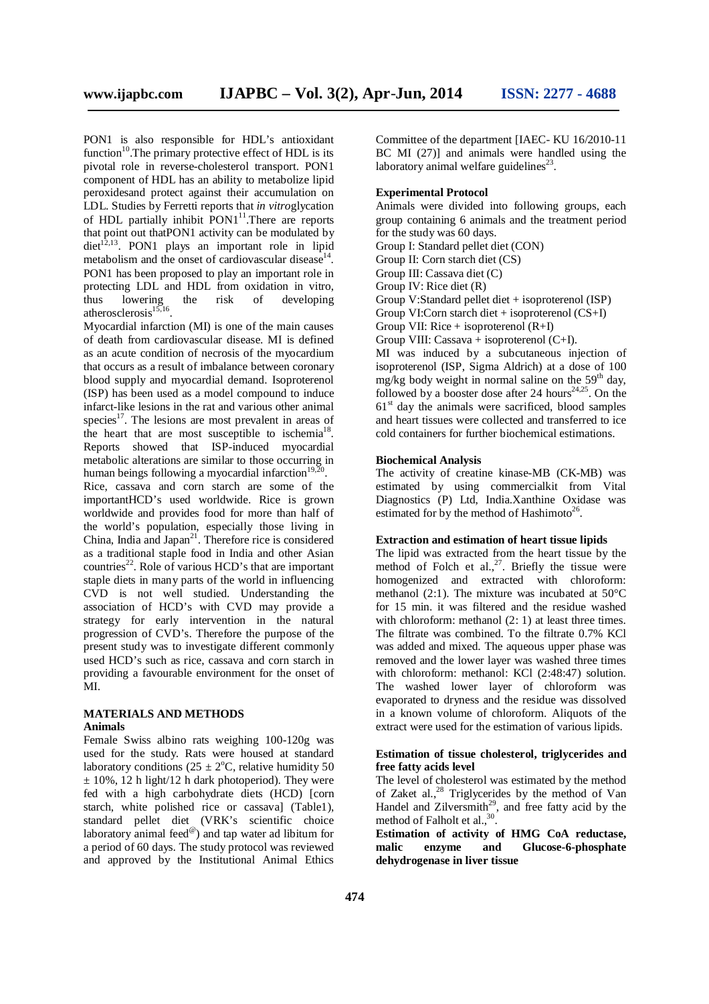PON1 is also responsible for HDL's antioxidant function<sup>10</sup>. The primary protective effect of HDL is its pivotal role in reverse-cholesterol transport. PON1 component of HDL has an ability to metabolize lipid peroxidesand protect against their accumulation on LDL. Studies by Ferretti reports that *in vitro*glycation of HDL partially inhibit PON1<sup>11</sup>. There are reports that point out thatPON1 activity can be modulated by  $\text{dist}^{12,13}$ . PON1 plays an important role in lipid metabolism and the onset of cardiovascular disease<sup>14</sup>. PON1 has been proposed to play an important role in protecting LDL and HDL from oxidation in vitro, thus lowering the risk of developing atherosclerosis $^{15,16}$ .

Myocardial infarction (MI) is one of the main causes of death from cardiovascular disease. MI is defined as an acute condition of necrosis of the myocardium that occurs as a result of imbalance between coronary blood supply and myocardial demand. Isoproterenol (ISP) has been used as a model compound to induce infarct-like lesions in the rat and various other animal species<sup>17</sup>. The lesions are most prevalent in areas of the heart that are most susceptible to ischemia<sup>18</sup>. Reports showed that ISP-induced myocardial metabolic alterations are similar to those occurring in human beings following a myocardial infarction<sup>19,20</sup> .

Rice, cassava and corn starch are some of the importantHCD's used worldwide. Rice is grown worldwide and provides food for more than half of the world's population, especially those living in China, India and Japan $21$ . Therefore rice is considered as a traditional staple food in India and other Asian countries<sup>22</sup>. Role of various HCD's that are important staple diets in many parts of the world in influencing CVD is not well studied. Understanding the association of HCD's with CVD may provide a strategy for early intervention in the natural progression of CVD's. Therefore the purpose of the present study was to investigate different commonly used HCD's such as rice, cassava and corn starch in providing a favourable environment for the onset of MI.

# **MATERIALS AND METHODS Animals**

Female Swiss albino rats weighing 100-120g was used for the study. Rats were housed at standard laboratory conditions ( $25 \pm 2$ °C, relative humidity 50  $\pm$  10%, 12 h light/12 h dark photoperiod). They were fed with a high carbohydrate diets (HCD) [corn starch, white polished rice or cassava] (Table1), standard pellet diet (VRK's scientific choice laboratory animal feed<sup>@</sup>) and tap water ad libitum for a period of 60 days. The study protocol was reviewed and approved by the Institutional Animal Ethics

Committee of the department [IAEC- KU 16/2010-11 BC MI (27)] and animals were handled using the laboratory animal welfare guidelines $^{23}$ .

### **Experimental Protocol**

Animals were divided into following groups, each group containing 6 animals and the treatment period for the study was 60 days.

Group I: Standard pellet diet (CON)

Group II: Corn starch diet (CS)

Group III: Cassava diet (C)

Group IV: Rice diet (R)

Group V:Standard pellet diet + isoproterenol (ISP)

Group VI:Corn starch diet + isoproterenol  $(CS+I)$ 

Group VII: Rice + isoproterenol  $(R+I)$ 

Group VIII: Cassava + isoproterenol  $(C+I)$ .

MI was induced by a subcutaneous injection of isoproterenol (ISP, Sigma Aldrich) at a dose of 100 mg/kg body weight in normal saline on the  $59<sup>th</sup>$  day, followed by a booster dose after 24 hours<sup>24,25</sup>. On the 61<sup>st</sup> day the animals were sacrificed, blood samples and heart tissues were collected and transferred to ice cold containers for further biochemical estimations.

#### **Biochemical Analysis**

The activity of creatine kinase-MB (CK-MB) was estimated by using commercialkit from Vital Diagnostics (P) Ltd, India.Xanthine Oxidase was estimated for by the method of Hashimoto<sup>26</sup>.

# **Extraction and estimation of heart tissue lipids**

The lipid was extracted from the heart tissue by the method of Folch et al., $^{27}$ . Briefly the tissue were homogenized and extracted with chloroform: methanol (2:1). The mixture was incubated at 50°C for 15 min. it was filtered and the residue washed with chloroform: methanol  $(2: 1)$  at least three times. The filtrate was combined. To the filtrate 0.7% KCl was added and mixed. The aqueous upper phase was removed and the lower layer was washed three times with chloroform: methanol: KCl (2:48:47) solution. The washed lower layer of chloroform was evaporated to dryness and the residue was dissolved in a known volume of chloroform. Aliquots of the extract were used for the estimation of various lipids.

#### **Estimation of tissue cholesterol, triglycerides and free fatty acids level**

The level of cholesterol was estimated by the method of Zaket al., $^{28}$  Triglycerides by the method of Van Handel and Zilversmith<sup>29</sup>, and free fatty acid by the method of Falholt et al., $^{30}$ .

**Estimation of activity of HMG CoA reductase, malic enzyme and Glucose-6-phosphate dehydrogenase in liver tissue**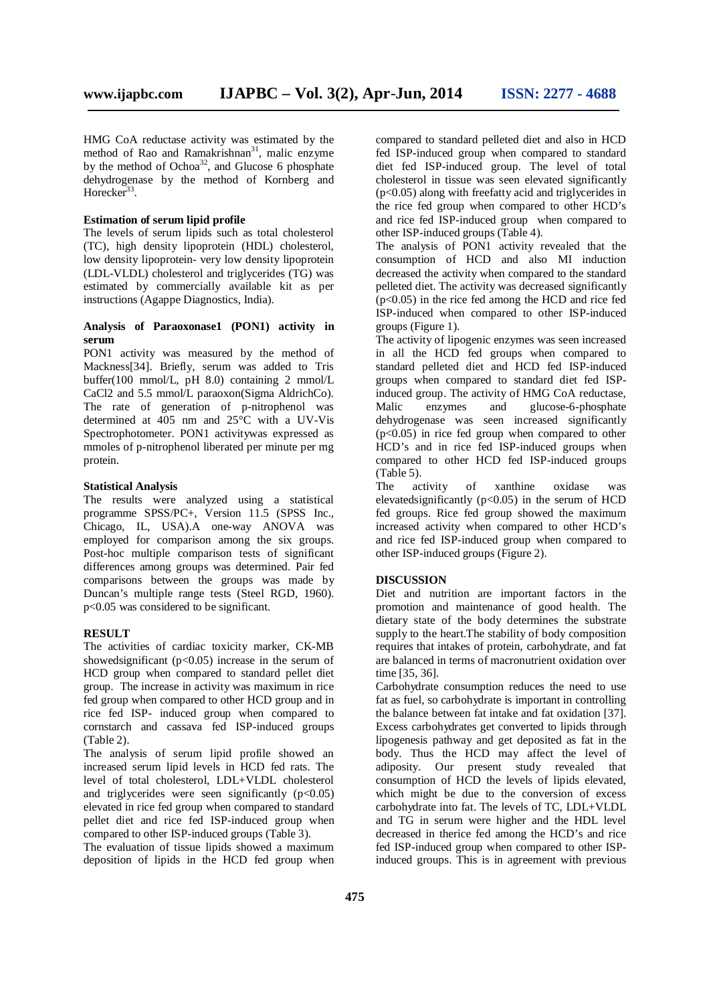HMG CoA reductase activity was estimated by the method of Rao and Ramakrishnan<sup>31</sup>, malic enzyme by the method of Ochoa<sup>32</sup>, and Glucose 6 phosphate dehydrogenase by the method of Kornberg and Horecker<sup>33</sup>.

#### **Estimation of serum lipid profile**

The levels of serum lipids such as total cholesterol (TC), high density lipoprotein (HDL) cholesterol, low density lipoprotein- very low density lipoprotein (LDL-VLDL) cholesterol and triglycerides (TG) was estimated by commercially available kit as per instructions (Agappe Diagnostics, India).

# **Analysis of Paraoxonase1 (PON1) activity in serum**

PON1 activity was measured by the method of Mackness[34]. Briefly, serum was added to Tris buffer(100 mmol/L, pH 8.0) containing 2 mmol/L CaCl2 and 5.5 mmol/L paraoxon(Sigma AldrichCo). The rate of generation of p-nitrophenol was determined at 405 nm and 25°C with a UV-Vis Spectrophotometer. PON1 activitywas expressed as mmoles of p-nitrophenol liberated per minute per mg protein.

#### **Statistical Analysis**

The results were analyzed using a statistical programme SPSS/PC+, Version 11.5 (SPSS Inc., Chicago, IL, USA).A one-way ANOVA was employed for comparison among the six groups. Post-hoc multiple comparison tests of significant differences among groups was determined. Pair fed comparisons between the groups was made by Duncan's multiple range tests (Steel RGD, 1960). p<0.05 was considered to be significant.

#### **RESULT**

The activities of cardiac toxicity marker, CK-MB showedsignificant  $(p<0.05)$  increase in the serum of HCD group when compared to standard pellet diet group. The increase in activity was maximum in rice fed group when compared to other HCD group and in rice fed ISP- induced group when compared to cornstarch and cassava fed ISP-induced groups (Table 2).

The analysis of serum lipid profile showed an increased serum lipid levels in HCD fed rats. The level of total cholesterol, LDL+VLDL cholesterol and triglycerides were seen significantly  $(p<0.05)$ elevated in rice fed group when compared to standard pellet diet and rice fed ISP-induced group when compared to other ISP-induced groups (Table 3).

The evaluation of tissue lipids showed a maximum deposition of lipids in the HCD fed group when compared to standard pelleted diet and also in HCD fed ISP-induced group when compared to standard diet fed ISP-induced group. The level of total cholesterol in tissue was seen elevated significantly (p<0.05) along with freefatty acid and triglycerides in the rice fed group when compared to other HCD's and rice fed ISP-induced group when compared to other ISP-induced groups (Table 4).

The analysis of PON1 activity revealed that the consumption of HCD and also MI induction decreased the activity when compared to the standard pelleted diet. The activity was decreased significantly  $(p<0.05)$  in the rice fed among the HCD and rice fed ISP-induced when compared to other ISP-induced groups (Figure 1).

The activity of lipogenic enzymes was seen increased in all the HCD fed groups when compared to standard pelleted diet and HCD fed ISP-induced groups when compared to standard diet fed ISPinduced group. The activity of HMG CoA reductase, Malic enzymes and glucose-6-phosphate dehydrogenase was seen increased significantly  $(p<0.05)$  in rice fed group when compared to other HCD's and in rice fed ISP-induced groups when compared to other HCD fed ISP-induced groups (Table 5).

The activity of xanthine oxidase was elevatedsignificantly  $(p<0.05)$  in the serum of HCD fed groups. Rice fed group showed the maximum increased activity when compared to other HCD's and rice fed ISP-induced group when compared to other ISP-induced groups (Figure 2).

#### **DISCUSSION**

Diet and nutrition are important factors in the promotion and maintenance of good health. The dietary state of the body determines the substrate supply to the heart.The stability of body composition requires that intakes of protein, carbohydrate, and fat are balanced in terms of macronutrient oxidation over time [35, 36].

Carbohydrate consumption reduces the need to use fat as fuel, so carbohydrate is important in controlling the balance between fat intake and fat oxidation [37]. Excess carbohydrates get converted to lipids through lipogenesis pathway and get deposited as fat in the body. Thus the HCD may affect the level of adiposity. Our present study revealed that consumption of HCD the levels of lipids elevated, which might be due to the conversion of excess carbohydrate into fat. The levels of TC, LDL+VLDL and TG in serum were higher and the HDL level decreased in therice fed among the HCD's and rice fed ISP-induced group when compared to other ISPinduced groups. This is in agreement with previous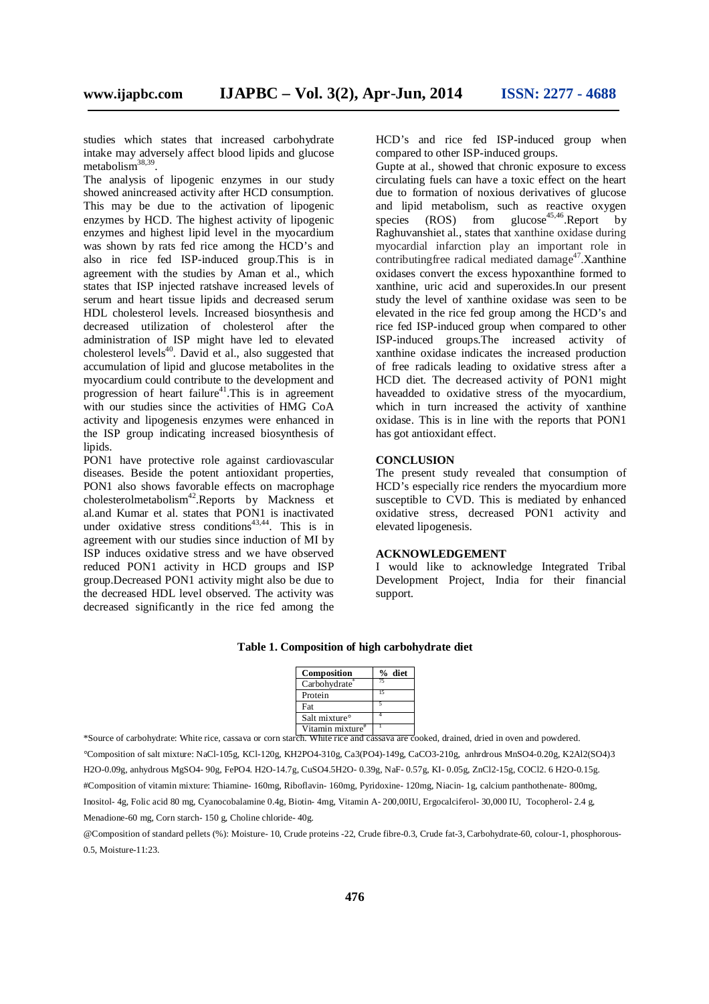studies which states that increased carbohydrate intake may adversely affect blood lipids and glucose metabolism<sup>38,39</sup>.

The analysis of lipogenic enzymes in our study showed anincreased activity after HCD consumption. This may be due to the activation of lipogenic enzymes by HCD. The highest activity of lipogenic enzymes and highest lipid level in the myocardium was shown by rats fed rice among the HCD's and also in rice fed ISP-induced group.This is in agreement with the studies by Aman et al., which states that ISP injected ratshave increased levels of serum and heart tissue lipids and decreased serum HDL cholesterol levels. Increased biosynthesis and decreased utilization of cholesterol after the administration of ISP might have led to elevated cholesterol levels<sup>40</sup>. David et al., also suggested that accumulation of lipid and glucose metabolites in the myocardium could contribute to the development and progression of heart failure<sup>41</sup>. This is in agreement with our studies since the activities of HMG CoA activity and lipogenesis enzymes were enhanced in the ISP group indicating increased biosynthesis of lipids.

PON1 have protective role against cardiovascular diseases. Beside the potent antioxidant properties, PON1 also shows favorable effects on macrophage cholesterolmetabolism<sup>42</sup>. Reports by Mackness et al.and Kumar et al. states that PON1 is inactivated under oxidative stress conditions<sup>43,44</sup>. This is in agreement with our studies since induction of MI by ISP induces oxidative stress and we have observed reduced PON1 activity in HCD groups and ISP group.Decreased PON1 activity might also be due to the decreased HDL level observed. The activity was decreased significantly in the rice fed among the HCD's and rice fed ISP-induced group when compared to other ISP-induced groups.

Gupte at al., showed that chronic exposure to excess circulating fuels can have a toxic effect on the heart due to formation of noxious derivatives of glucose and lipid metabolism, such as reactive oxygen species  $(ROS)$  from glucose<sup>45,46</sup>. Report by Raghuvanshiet al., states that xanthine oxidase during myocardial infarction play an important role in contributingfree radical mediated damage<sup>47</sup>. Xanthine oxidases convert the excess hypoxanthine formed to xanthine, uric acid and superoxides.In our present study the level of xanthine oxidase was seen to be elevated in the rice fed group among the HCD's and rice fed ISP-induced group when compared to other ISP-induced groups.The increased activity of xanthine oxidase indicates the increased production of free radicals leading to oxidative stress after a HCD diet. The decreased activity of PON1 might haveadded to oxidative stress of the myocardium, which in turn increased the activity of xanthine oxidase. This is in line with the reports that PON1 has got antioxidant effect.

#### **CONCLUSION**

The present study revealed that consumption of HCD's especially rice renders the myocardium more susceptible to CVD. This is mediated by enhanced oxidative stress, decreased PON1 activity and elevated lipogenesis.

# **ACKNOWLEDGEMENT**

I would like to acknowledge Integrated Tribal Development Project, India for their financial support.

| Composition               | % diet |
|---------------------------|--------|
| Carbohydrate              |        |
| Protein                   |        |
| Fat                       |        |
| Salt mixture <sup>o</sup> |        |
|                           |        |

#### **Table 1. Composition of high carbohydrate diet**

Vitamin mixture# 1 \*Source of carbohydrate: White rice, cassava or corn starch. White rice and cassava are cooked, drained, dried in oven and powdered. *°*Composition of salt mixture: NaCl-105g, KCl-120g, KH2PO4-310g, Ca3(PO4)-149g, CaCO3-210g, anhrdrous MnSO4-0.20g, K2Al2(SO4)3 H2O-0.09g, anhydrous MgSO4- 90g, FePO4. H2O-14.7g, CuSO4.5H2O- 0.39g, NaF- 0.57g, KI- 0.05g, ZnCl2-15g, COCl2. 6 H2O-0.15g. #Composition of vitamin mixture: Thiamine- 160mg, Riboflavin- 160mg, Pyridoxine- 120mg, Niacin- 1g, calcium panthothenate- 800mg, Inositol- 4g, Folic acid 80 mg, Cyanocobalamine 0.4g, Biotin- 4mg, Vitamin A- 200,00IU, Ergocalciferol- 30,000 IU, Tocopherol- 2.4 g, Menadione-60 mg, Corn starch- 150 g, Choline chloride- 40g.

@Composition of standard pellets (%): Moisture- 10, Crude proteins -22, Crude fibre-0.3, Crude fat-3, Carbohydrate-60, colour-1, phosphorous-0.5, Moisture-11:23.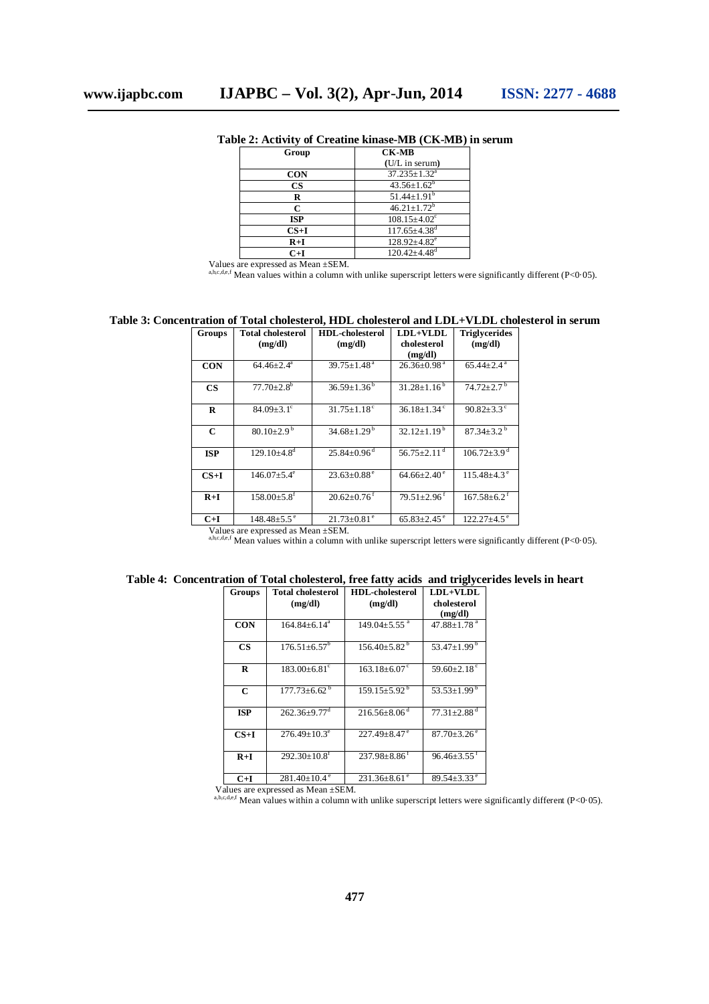| Group         | <b>CK-MB</b>                   |  |
|---------------|--------------------------------|--|
|               | (U/L in serum)                 |  |
| <b>CON</b>    | $37.235 \pm 1.32^a$            |  |
| $\mathbf{CS}$ | $43.56 \pm 1.62^b$             |  |
| R             | $51.44 \pm 1.91^b$             |  |
| r             | $46.21 \pm 1.72^b$             |  |
| <b>ISP</b>    | $108.15 \pm 4.02$ <sup>c</sup> |  |
| $CS+I$        | $117.65 \pm 4.38$ <sup>d</sup> |  |
| $R+I$         | $128.92{\pm}4.82^e$            |  |
| $C+I$         | $120.42{\pm}4.48$ <sup>d</sup> |  |

**Table 2: Activity of Creatine kinase-MB (CK-MB) in serum**

Values are expressed as Mean ±SEM.<br>a,b,c,d,e,f Mean values within a column with unlike superscript letters were significantly different (P<0·05).

#### **Table 3: Concentration of Total cholesterol, HDL cholesterol and LDL+VLDL cholesterol in serum**

| Groups        | <b>Total cholesterol</b>      | <b>HDL-cholesterol</b>        | LDL+VLDL                      | <b>Triglycerides</b>          |
|---------------|-------------------------------|-------------------------------|-------------------------------|-------------------------------|
|               | (mg/dl)                       | (mg/dl)                       | cholesterol<br>(mg/dl)        | (mg/dl)                       |
| <b>CON</b>    | $64.46{\pm}2.4^a$             | $39.75 \pm 1.48$ <sup>a</sup> | $26.36 \pm 0.98$ <sup>a</sup> | $65.44 \pm 2.4$ <sup>a</sup>  |
| $\mathbf{CS}$ | $77.70 \pm 2.8$ <sup>b</sup>  | $36.59 \pm 1.36$              | $31.28 \pm 1.16^{b}$          | $74.72 \pm 2.7$ <sup>b</sup>  |
| R             | $84.09 + 3.1$ <sup>c</sup>    | $31.75 \pm 1.18$ <sup>c</sup> | $36.18 \pm 1.34$ <sup>c</sup> | $90.82 \pm 3.3$ °             |
| $\mathbf C$   | $80.10 \pm 2.9$ <sup>b</sup>  | $34.68 \pm 1.29^{\mathrm{b}}$ | $32.12 \pm 1.19^{\mathrm{b}}$ | $87.34 \pm 3.2$ <sup>b</sup>  |
| <b>ISP</b>    | $129.10\pm4.8^{\rm d}$        | $25.84 \pm 0.96$ <sup>d</sup> | 56.75 $\pm$ 2.11 <sup>d</sup> | $106.72 \pm 3.9$ <sup>d</sup> |
| $CS+I$        | $146.07 + 5.4^e$              | $23.63 \pm 0.88$ <sup>e</sup> | $64.66 + 2.40^{\circ}$        | $115.48 \pm 4.3$ <sup>e</sup> |
| $R+I$         | $158.00 \pm 5.8$ <sup>f</sup> | $20.62 \pm 0.76$ <sup>f</sup> | $79.51 \pm 2.96$ <sup>f</sup> | $167.58 \pm 6.2$ <sup>f</sup> |
| $C+I$         | $148.48 \pm 5.5$ <sup>e</sup> | $21.73 \pm 0.81$ <sup>e</sup> | $65.83 \pm 2.45$ <sup>e</sup> | $122.27 \pm 4.5$ <sup>e</sup> |

Values are expressed as Mean ±SEM.<br>a,b,c,d,e,f Mean values within a column with unlike superscript letters were significantly different (P<0·05).

|  |  | Table 4: Concentration of Total cholesterol, free fatty acids and triglycerides levels in heart |  |
|--|--|-------------------------------------------------------------------------------------------------|--|
|  |  |                                                                                                 |  |

| Groups     | <b>Total cholesterol</b>       | <b>HDL-cholesterol</b>         | LDL+VLDL                      |
|------------|--------------------------------|--------------------------------|-------------------------------|
|            | (mg/dl)                        | (mg/dl)                        | cholesterol<br>(mg/dl)        |
| <b>CON</b> | $164.84 \pm 6.14^a$            | $149.04 \pm 5.55$ <sup>a</sup> | 47.88 $\pm$ 1.78 <sup>a</sup> |
| CS         | $176.51 \pm 6.57^b$            | $156.40 \pm 5.82^{\mathrm{b}}$ | 53.47 $\pm$ 1.99 $^{\circ}$   |
| R          | $183.00 + 6.81$ <sup>c</sup>   | $163.18 \pm 6.07$ <sup>c</sup> | 59.60 $\pm$ 2.18 $\degree$    |
| C          | $177.73 \pm 6.62^{\mathrm{b}}$ | $159.15 \pm 5.92^{\mathrm{b}}$ | 53.53 $\pm$ 1.99 $^{\circ}$   |
| <b>ISP</b> | $262.36 \pm 9.77$ <sup>d</sup> | $216.56\pm8.06^{\mathrm{d}}$   | $77.31 \pm 2.88$ <sup>d</sup> |
| $CS+I$     | $276.49 + 10.3^e$              | $227.49 + 8.47$ <sup>e</sup>   | $87.70 + 3.26$ <sup>e</sup>   |
| $R+I$      | $292.30 \pm 10.8$ <sup>f</sup> | $237.98 \pm 8.86$ <sup>f</sup> | $96.46 + 3.55$ <sup>t</sup>   |
| C+I        | $281.40 \pm 10.4$ <sup>e</sup> | $231.36 \pm 8.61$ <sup>e</sup> | $89.54 + 3.33^{\circ}$        |

Values are expressed as Mean  $\pm$ SEM.<br>
a,b,c,d,e,f Mean values within a column with unlike superscript letters were significantly different (P<0·05).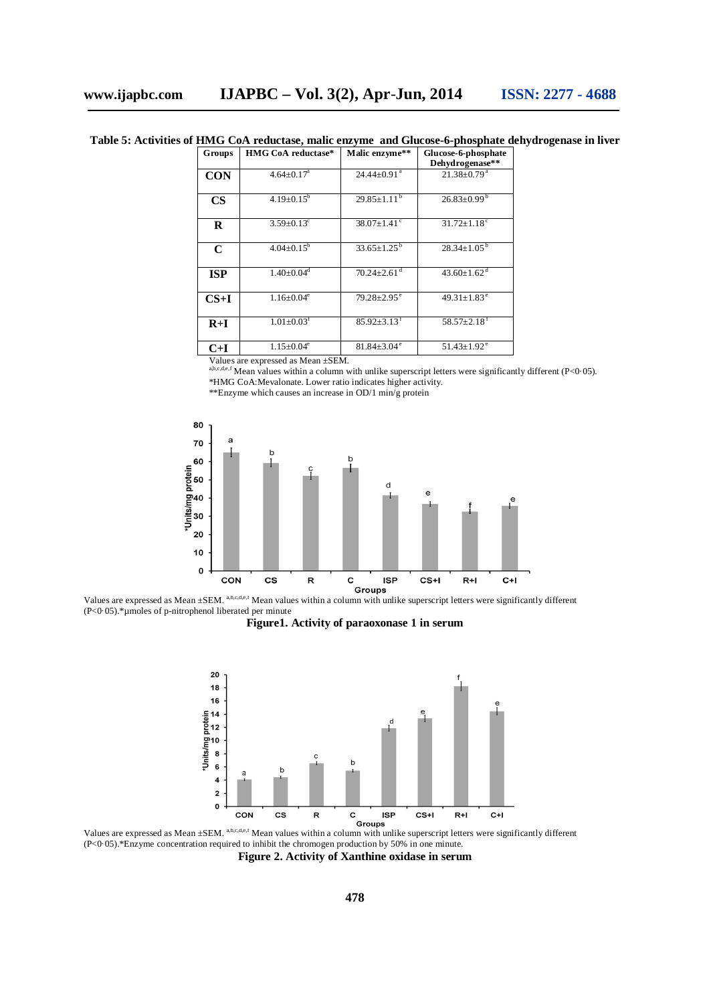**Table 5: Activities of HMG CoA reductase, malic enzyme and Glucose-6-phosphate dehydrogenase in liver**

| <b>Groups</b> | HMG CoA reductase*           | Malic enzyme**                | Glucose-6-phosphate           |
|---------------|------------------------------|-------------------------------|-------------------------------|
|               |                              |                               | Dehydrogenase**               |
| <b>CON</b>    | $4.64 \pm 0.17$ <sup>a</sup> | $24.44 \pm 0.91$ <sup>a</sup> | $21.38 \pm 0.79$ <sup>a</sup> |
| $\mathbf{CS}$ | $4.19 \pm 0.15^b$            | $29.85 \pm 1.11^{b}$          | $26.83 \pm 0.99$ <sup>b</sup> |
| R             | $3.59 \pm 0.13$ °            | $38.07 \pm 1.41$ °            | $31.72 \pm 1.18$ <sup>c</sup> |
| $\mathbf C$   | $4.04 \pm 0.15^b$            | $33.65 \pm 1.25^{\mathrm{b}}$ | $28.34 \pm 1.05^b$            |
| <b>ISP</b>    | $1.40 \pm 0.04$ <sup>d</sup> | $70.24 \pm 2.61$ <sup>d</sup> | $43.60 \pm 1.62$ <sup>d</sup> |
| $CS+I$        | $1.16 \pm 0.04^e$            | $79.28 \pm 2.95$ <sup>e</sup> | $49.31 \pm 1.83$ <sup>e</sup> |
| $R+I$         | $1.01 \pm 0.03$ <sup>f</sup> | $85.92 + 3.13$ <sup>f</sup>   | $58.57 \pm 2.18$ <sup>f</sup> |
| $C+I$         | $1.15 \pm 0.04^e$            | $81.84 \pm 3.04$ <sup>e</sup> | $51.43 \pm 1.92$ <sup>e</sup> |

Values are expressed as Mean ±SEM.<br><sup>a,b,c,d,e,f</sup> Mean values within a column with unlike superscript letters were significantly different (P<0·05). \*HMG CoA:Mevalonate. Lower ratio indicates higher activity.

\*\*Enzyme which causes an increase in OD/1 min/g protein



Values are expressed as Mean ±SEM. a,b,c,d,e,f Mean values within a column with unlike superscript letters were significantly different (P<0·05).\*µmoles of p-nitrophenol liberated per minute





(P<0·05).\*Enzyme concentration required to inhibit the chromogen production by 50% in one minute. **Figure 2. Activity of Xanthine oxidase in serum**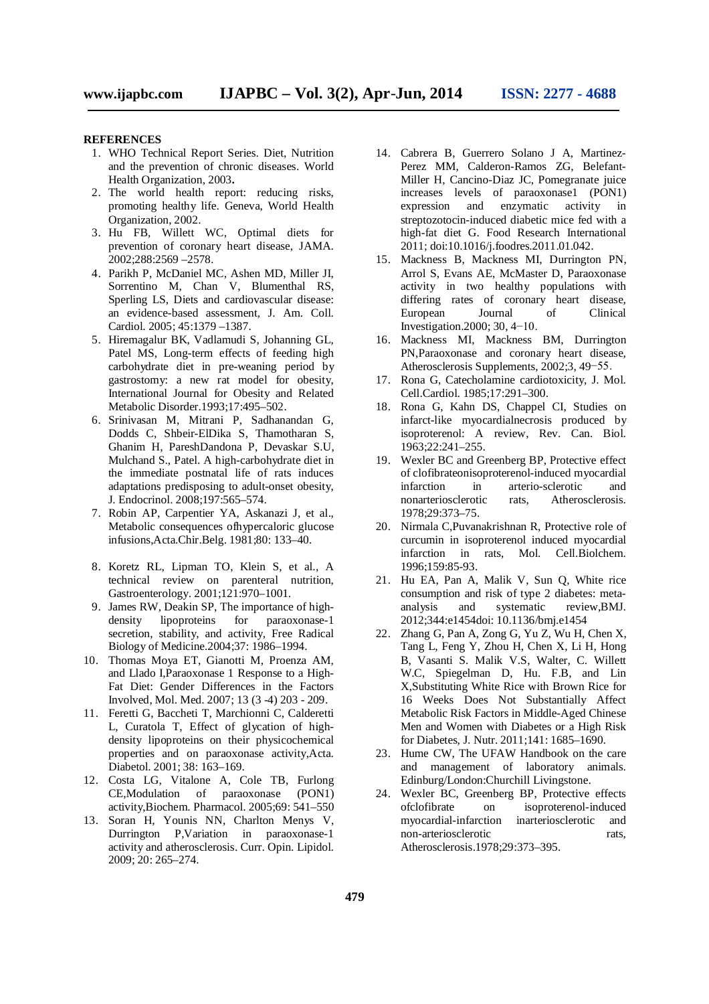#### **REFERENCES**

- 1. WHO Technical Report Series. Diet, Nutrition and the prevention of chronic diseases. World Health Organization, 2003**.**
- 2. The world health report: reducing risks, promoting healthy life. Geneva, World Health Organization, 2002.
- 3. Hu FB, Willett WC, Optimal diets for prevention of coronary heart disease, JAMA. 2002;288:2569 –2578.
- 4. Parikh P, McDaniel MC, Ashen MD, Miller JI, Sorrentino M, Chan V, Blumenthal RS, Sperling LS, Diets and cardiovascular disease: an evidence-based assessment, J. Am. Coll. Cardiol. 2005; 45:1379 –1387.
- 5. Hiremagalur BK, Vadlamudi S, Johanning GL, Patel MS, Long-term effects of feeding high carbohydrate diet in pre-weaning period by gastrostomy: a new rat model for obesity, International Journal for Obesity and Related Metabolic Disorder.1993;17:495–502.
- 6. Srinivasan M, Mitrani P, Sadhanandan G, Dodds C, Shbeir-ElDika S, Thamotharan S, Ghanim H, PareshDandona P, Devaskar S.U, Mulchand S., Patel. A high-carbohydrate diet in the immediate postnatal life of rats induces adaptations predisposing to adult-onset obesity, J. Endocrinol. 2008;197:565–574.
- 7. Robin AP, Carpentier YA, Askanazi J, et al., Metabolic consequences ofhypercaloric glucose infusions,Acta.Chir.Belg. 1981;80: 133–40.
- 8. Koretz RL, Lipman TO, Klein S, et al., A technical review on parenteral nutrition, Gastroenterology. 2001;121:970–1001.
- 9. James RW, Deakin SP, The importance of high-<br>density lipoproteins for paraoxonase-1 density lipoproteins for paraoxonase-1 secretion, stability, and activity, Free Radical Biology of Medicine.2004;37: 1986–1994.
- 10. Thomas Moya ET, Gianotti M, Proenza AM, and Llado I,Paraoxonase 1 Response to a High-Fat Diet: Gender Differences in the Factors Involved, Mol. Med. 2007; 13 (3 -4) 203 - 209.
- 11. Feretti G, Baccheti T, Marchionni C, Calderetti L, Curatola T, Effect of glycation of highdensity lipoproteins on their physicochemical properties and on paraoxonase activity,Acta. Diabetol. 2001; 38: 163–169.
- 12. Costa LG, Vitalone A, Cole TB, Furlong CE,Modulation of paraoxonase (PON1) activity,Biochem. Pharmacol. 2005;69: 541–550
- 13. Soran H, Younis NN, Charlton Menys V, Durrington P,Variation in paraoxonase-1 activity and atherosclerosis. Curr. Opin. Lipidol. 2009; 20: 265–274.
- 14. Cabrera B, Guerrero Solano J A, Martinez-Perez MM, Calderon-Ramos ZG, Belefant-Miller H, Cancino-Diaz JC, Pomegranate juice increases levels of paraoxonase1 (PON1) expression and enzymatic activity in streptozotocin-induced diabetic mice fed with a high-fat diet G. Food Research International 2011; doi:10.1016/j.foodres.2011.01.042.
- 15. Mackness B, Mackness MI, Durrington PN, Arrol S, Evans AE, McMaster D, Paraoxonase activity in two healthy populations with differing rates of coronary heart disease, European Journal of Clinical Investigation.2000; 30, 4−10.
- 16. Mackness MI, Mackness BM, Durrington PN,Paraoxonase and coronary heart disease, Atherosclerosis Supplements, 2002;3, 49−55.
- 17. Rona G, Catecholamine cardiotoxicity, J. Mol. Cell.Cardiol. 1985;17:291–300.
- 18. Rona G, Kahn DS, Chappel CI, Studies on infarct-like myocardialnecrosis produced by isoproterenol: A review, Rev. Can. Biol. 1963;22:241–255.
- 19. Wexler BC and Greenberg BP, Protective effect of clofibrateonisoproterenol-induced myocardial infarction in arterio-sclerotic and nonarteriosclerotic rats, Atherosclerosis. 1978;29:373–75.
- 20. Nirmala C,Puvanakrishnan R, Protective role of curcumin in isoproterenol induced myocardial infarction in rats, Mol. Cell.Biolchem. 1996;159:85-93.
- 21. Hu EA, Pan A, Malik V, Sun Q, White rice consumption and risk of type 2 diabetes: metaanalysis and systematic review,BMJ. 2012;344:e1454doi: 10.1136/bmj.e1454
- 22. Zhang G, Pan A, Zong G, Yu Z, Wu H, Chen X, Tang L, Feng Y, Zhou H, Chen X, Li H, Hong B, Vasanti S. Malik V.S, Walter, C. Willett W.C. Spiegelman D. Hu. F.B. and Lin X,Substituting White Rice with Brown Rice for 16 Weeks Does Not Substantially Affect Metabolic Risk Factors in Middle-Aged Chinese Men and Women with Diabetes or a High Risk for Diabetes, J. Nutr. 2011;141: 1685–1690.
- 23. Hume CW, The UFAW Handbook on the care and management of laboratory animals. Edinburg/London:Churchill Livingstone.
- 24. Wexler BC, Greenberg BP, Protective effects ofclofibrate on isoproterenol-induced myocardial-infarction inarteriosclerotic and non-arteriosclerotic rats, Atherosclerosis.1978;29:373–395.